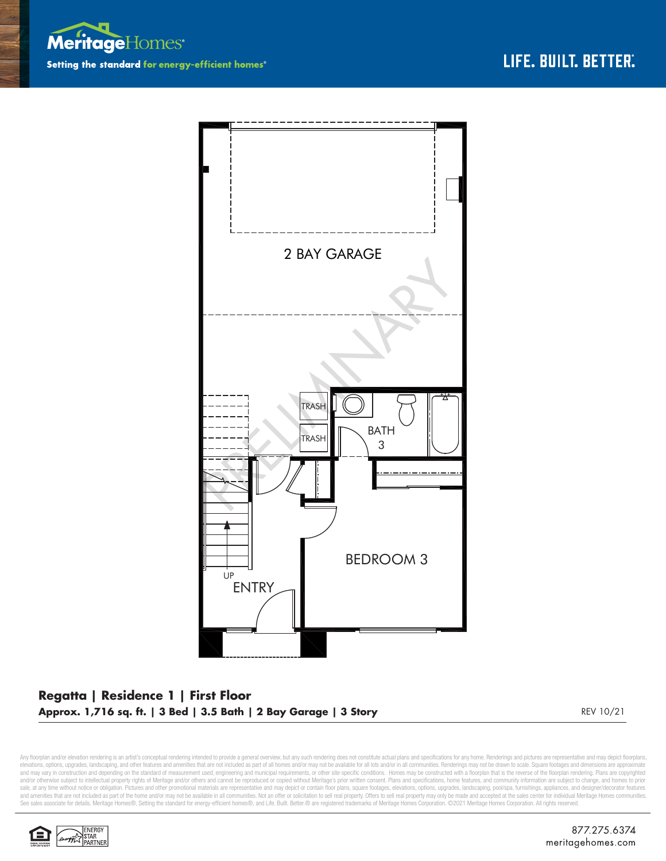



## **Regatta | Residence 1 | First Floor Approx. 1,716 sq. ft. | 3 Bed | 3.5 Bath | 2 Bay Garage | 3 Story** REV 10/21

Any floorplan and/or elevation rendering is an artist's conceptual rendering intended to provide a general overview, but any such rendering does not constitute actual plans and specifications for any home. Renderings and p elevations, options, upgrades, landscaping, and other features and amenities that are not included as part of all homes and/or may not be available for all ols and/or in all communities. Renderings may not be drawn to scal sale, at any time without notice or obligation. Pictures and other promotional materials are representative and may depict or contain floor plans, square footages, elevations, options, upgrades, landscaping, pool/spa, furn See sales associate for details. Meritage Homes®, Setting the standard for energy-efficient homes®, and Life. Built. Better. @ are registered trademarks of Meritage Homes Corporation. ©2021 Meritage Homes Corporation. All

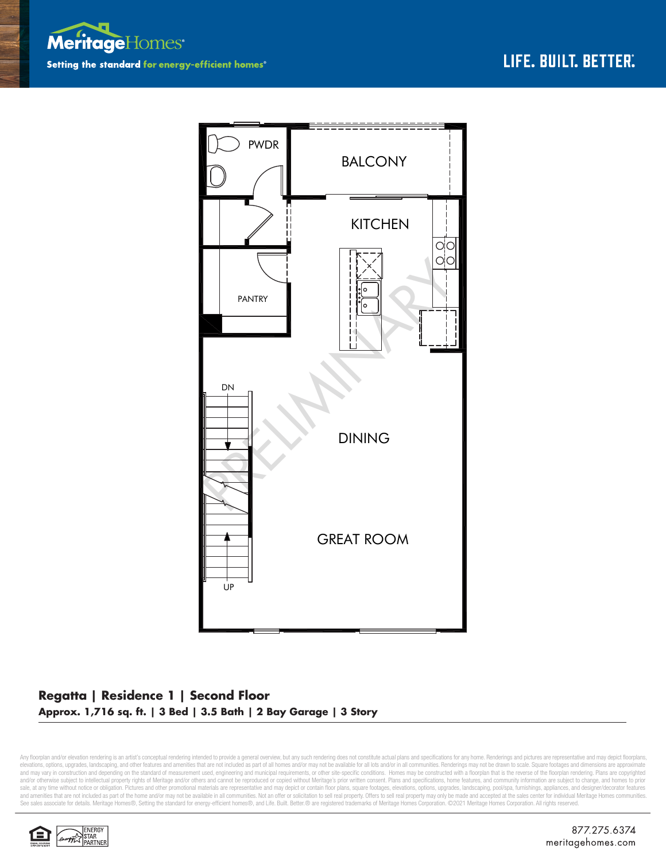



## **Regatta | Residence 1 | Second Floor Approx. 1,716 sq. ft. | 3 Bed | 3.5 Bath | 2 Bay Garage | 3 Story**

Any floorplan and/or elevation rendering is an artist's conceptual rendering intended to provide a general overview, but any such rendering does not constitute actual plans and specifications for any home. Renderings and p elevations, options, upgrades, landscaping, and other features and amenities that are not included as part of all homes and/or may not be available for all ols and/or in all communities. Renderings may not be drawn to scal sale, at any time without notice or obligation. Pictures and other promotional materials are representative and may depict or contain floor plans, square footages, elevations, options, upgrades, landscaping, pool/spa, furn See sales associate for details. Meritage Homes®, Setting the standard for energy-efficient homes®, and Life. Built. Better. @ are registered trademarks of Meritage Homes Corporation. ©2021 Meritage Homes Corporation. All